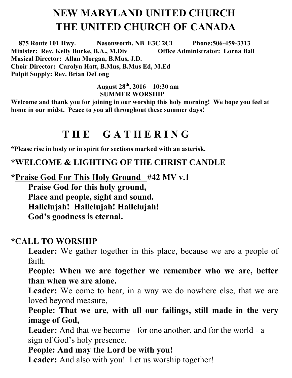# **NEW MARYLAND UNITED CHURCH THE UNITED CHURCH OF CANADA**

 **875 Route 101 Hwy. Nasonworth, NB E3C 2C1 Phone:506-459-3313 Minister: Rev. Kelly Burke, B.A., M.Div Musical Director: Allan Morgan, B.Mus, J.D. Choir Director: Carolyn Hatt, B.Mus, B.Mus Ed, M.Ed Pulpit Supply: Rev. Brian DeLong**

#### **August 28th , 2016 10:30 am SUMMER WORSHIP**

**Welcome and thank you for joining in our worship this holy morning! We hope you feel at home in our midst. Peace to you all throughout these summer days!** 

## **T H E G A T H E R I N G**

**\*Please rise in body or in spirit for sections marked with an asterisk.**

**\*WELCOME & LIGHTING OF THE CHRIST CANDLE**

**\*Praise God For This Holy Ground #42 MV v.1** 

**Praise God for this holy ground, Place and people, sight and sound. Hallelujah! Hallelujah! Hallelujah! God's goodness is eternal.**

#### **\*CALL TO WORSHIP**

Leader: We gather together in this place, because we are a people of faith.

**People: When we are together we remember who we are, better than when we are alone.**

Leader: We come to hear, in a way we do nowhere else, that we are loved beyond measure,

**People: That we are, with all our failings, still made in the very image of God,**

Leader: And that we become - for one another, and for the world - a sign of God's holy presence.

**People: And may the Lord be with you!** 

Leader: And also with you! Let us worship together!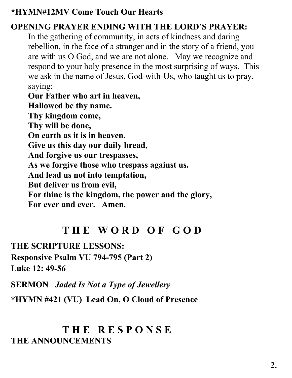#### **\*HYMN#12MV Come Touch Our Hearts**

#### **OPENING PRAYER ENDING WITH THE LORD'S PRAYER:**

In the gathering of community, in acts of kindness and daring rebellion, in the face of a stranger and in the story of a friend, you are with us O God, and we are not alone. May we recognize and respond to your holy presence in the most surprising of ways. This we ask in the name of Jesus, God-with-Us, who taught us to pray, saying:

**Our Father who art in heaven, Hallowed be thy name. Thy kingdom come, Thy will be done, On earth as it is in heaven. Give us this day our daily bread, And forgive us our trespasses, As we forgive those who trespass against us. And lead us not into temptation, But deliver us from evil, For thine is the kingdom, the power and the glory, For ever and ever. Amen.**

## **T H E W O R D O F G O D**

**THE SCRIPTURE LESSONS:** 

**Responsive Psalm VU 794-795 (Part 2) Luke 12: 49-56**

**SERMON** *Jaded Is Not a Type of Jewellery*

**\*HYMN #421 (VU) Lead On, O Cloud of Presence**

### **T H E R E S P O N S E THE ANNOUNCEMENTS**